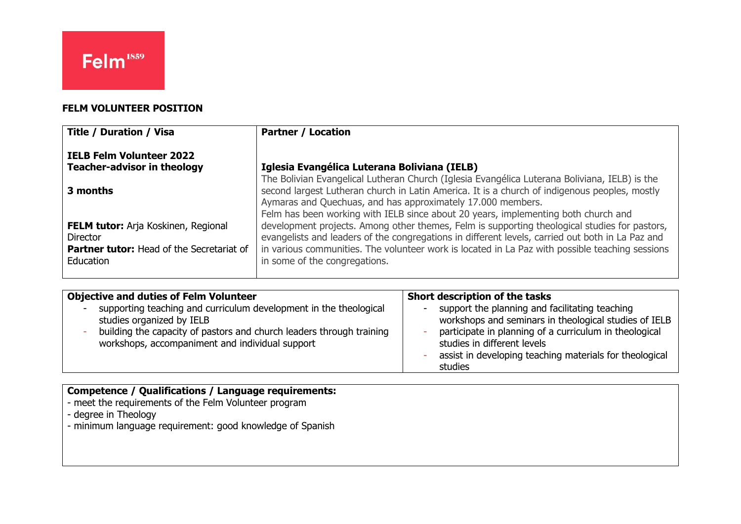### **FELM VOLUNTEER POSITION**

| <b>Title / Duration / Visa</b>                   | <b>Partner / Location</b>                                                                        |
|--------------------------------------------------|--------------------------------------------------------------------------------------------------|
| <b>IELB Felm Volunteer 2022</b>                  |                                                                                                  |
| <b>Teacher-advisor in theology</b>               | Iglesia Evangélica Luterana Boliviana (IELB)                                                     |
|                                                  | The Bolivian Evangelical Lutheran Church (Iglesia Evangélica Luterana Boliviana, IELB) is the    |
| 3 months                                         | second largest Lutheran church in Latin America. It is a church of indigenous peoples, mostly    |
|                                                  | Aymaras and Quechuas, and has approximately 17.000 members.                                      |
|                                                  | Felm has been working with IELB since about 20 years, implementing both church and               |
| <b>FELM tutor:</b> Arja Koskinen, Regional       | development projects. Among other themes, Felm is supporting theological studies for pastors,    |
| <b>Director</b>                                  | evangelists and leaders of the congregations in different levels, carried out both in La Paz and |
| <b>Partner tutor:</b> Head of the Secretariat of | in various communities. The volunteer work is located in La Paz with possible teaching sessions  |
| Education                                        | in some of the congregations.                                                                    |
|                                                  |                                                                                                  |

| <b>Objective and duties of Felm Volunteer</b>                                                                                                                                                                             | Short description of the tasks                                                                                                                                                                                                                                         |
|---------------------------------------------------------------------------------------------------------------------------------------------------------------------------------------------------------------------------|------------------------------------------------------------------------------------------------------------------------------------------------------------------------------------------------------------------------------------------------------------------------|
| supporting teaching and curriculum development in the theological<br>studies organized by IELB<br>building the capacity of pastors and church leaders through training<br>workshops, accompaniment and individual support | support the planning and facilitating teaching<br>workshops and seminars in theological studies of IELB<br>participate in planning of a curriculum in theological<br>studies in different levels<br>assist in developing teaching materials for theological<br>studies |

## **Competence / Qualifications / Language requirements:**

- meet the requirements of the Felm Volunteer program
- degree in Theology
- minimum language requirement: good knowledge of Spanish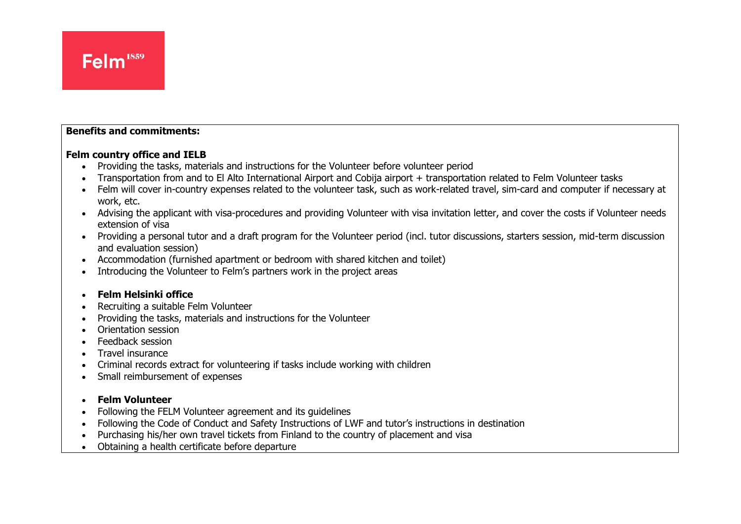#### **Benefits and commitments:**

#### **Felm country office and IELB**

- Providing the tasks, materials and instructions for the Volunteer before volunteer period
- Transportation from and to El Alto International Airport and Cobija airport + transportation related to Felm Volunteer tasks
- Felm will cover in-country expenses related to the volunteer task, such as work-related travel, sim-card and computer if necessary at work, etc.
- Advising the applicant with visa-procedures and providing Volunteer with visa invitation letter, and cover the costs if Volunteer needs extension of visa
- Providing a personal tutor and a draft program for the Volunteer period (incl. tutor discussions, starters session, mid-term discussion and evaluation session)
- Accommodation (furnished apartment or bedroom with shared kitchen and toilet)
- Introducing the Volunteer to Felm's partners work in the project areas

#### • **Felm Helsinki office**

- Recruiting a suitable Felm Volunteer
- Providing the tasks, materials and instructions for the Volunteer
- Orientation session
- Feedback session
- Travel insurance
- Criminal records extract for volunteering if tasks include working with children
- Small reimbursement of expenses

#### • **Felm Volunteer**

- Following the FELM Volunteer agreement and its guidelines
- Following the Code of Conduct and Safety Instructions of LWF and tutor's instructions in destination
- Purchasing his/her own travel tickets from Finland to the country of placement and visa
- Obtaining a health certificate before departure